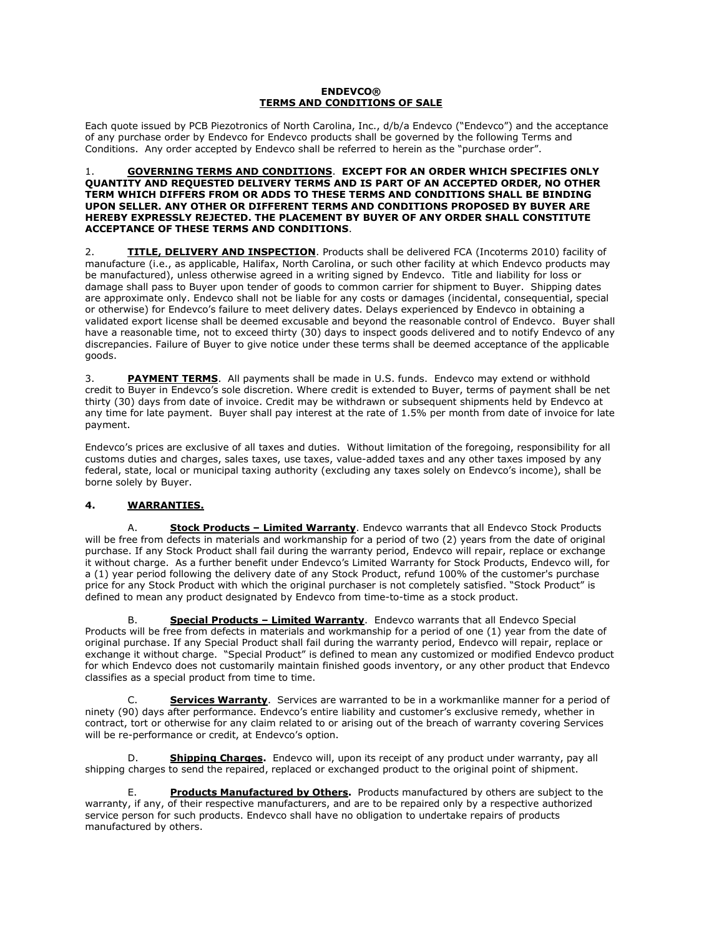### **ENDEVCO® TERMS AND CONDITIONS OF SALE**

Each quote issued by PCB Piezotronics of North Carolina, Inc., d/b/a Endevco ("Endevco") and the acceptance of any purchase order by Endevco for Endevco products shall be governed by the following Terms and Conditions. Any order accepted by Endevco shall be referred to herein as the "purchase order".

#### 1. **GOVERNING TERMS AND CONDITIONS**. **EXCEPT FOR AN ORDER WHICH SPECIFIES ONLY QUANTITY AND REQUESTED DELIVERY TERMS AND IS PART OF AN ACCEPTED ORDER, NO OTHER TERM WHICH DIFFERS FROM OR ADDS TO THESE TERMS AND CONDITIONS SHALL BE BINDING UPON SELLER. ANY OTHER OR DIFFERENT TERMS AND CONDITIONS PROPOSED BY BUYER ARE HEREBY EXPRESSLY REJECTED. THE PLACEMENT BY BUYER OF ANY ORDER SHALL CONSTITUTE ACCEPTANCE OF THESE TERMS AND CONDITIONS**.

2. **TITLE, DELIVERY AND INSPECTION**. Products shall be delivered FCA (Incoterms 2010) facility of manufacture (i.e., as applicable, Halifax, North Carolina, or such other facility at which Endevco products may be manufactured), unless otherwise agreed in a writing signed by Endevco. Title and liability for loss or damage shall pass to Buyer upon tender of goods to common carrier for shipment to Buyer. Shipping dates are approximate only. Endevco shall not be liable for any costs or damages (incidental, consequential, special or otherwise) for Endevco's failure to meet delivery dates. Delays experienced by Endevco in obtaining a validated export license shall be deemed excusable and beyond the reasonable control of Endevco. Buyer shall have a reasonable time, not to exceed thirty (30) days to inspect goods delivered and to notify Endevco of any discrepancies. Failure of Buyer to give notice under these terms shall be deemed acceptance of the applicable goods.

3. **PAYMENT TERMS**. All payments shall be made in U.S. funds. Endevco may extend or withhold credit to Buyer in Endevco's sole discretion. Where credit is extended to Buyer, terms of payment shall be net thirty (30) days from date of invoice. Credit may be withdrawn or subsequent shipments held by Endevco at any time for late payment. Buyer shall pay interest at the rate of 1.5% per month from date of invoice for late payment.

Endevco's prices are exclusive of all taxes and duties. Without limitation of the foregoing, responsibility for all customs duties and charges, sales taxes, use taxes, value-added taxes and any other taxes imposed by any federal, state, local or municipal taxing authority (excluding any taxes solely on Endevco's income), shall be borne solely by Buyer.

# **4. WARRANTIES.**

A. **Stock Products – Limited Warranty**. Endevco warrants that all Endevco Stock Products will be free from defects in materials and workmanship for a period of two (2) years from the date of original purchase. If any Stock Product shall fail during the warranty period, Endevco will repair, replace or exchange it without charge. As a further benefit under Endevco's Limited Warranty for Stock Products, Endevco will, for a (1) year period following the delivery date of any Stock Product, refund 100% of the customer's purchase price for any Stock Product with which the original purchaser is not completely satisfied. "Stock Product" is defined to mean any product designated by Endevco from time-to-time as a stock product.

B. **Special Products – Limited Warranty**. Endevco warrants that all Endevco Special Products will be free from defects in materials and workmanship for a period of one (1) year from the date of original purchase. If any Special Product shall fail during the warranty period, Endevco will repair, replace or exchange it without charge. "Special Product" is defined to mean any customized or modified Endevco product for which Endevco does not customarily maintain finished goods inventory, or any other product that Endevco classifies as a special product from time to time.

C. **Services Warranty**. Services are warranted to be in a workmanlike manner for a period of ninety (90) days after performance. Endevco's entire liability and customer's exclusive remedy, whether in contract, tort or otherwise for any claim related to or arising out of the breach of warranty covering Services will be re-performance or credit, at Endevco's option.

D. **Shipping Charges.** Endevco will, upon its receipt of any product under warranty, pay all shipping charges to send the repaired, replaced or exchanged product to the original point of shipment.

**Products Manufactured by Others.** Products manufactured by others are subject to the warranty, if any, of their respective manufacturers, and are to be repaired only by a respective authorized service person for such products. Endevco shall have no obligation to undertake repairs of products manufactured by others.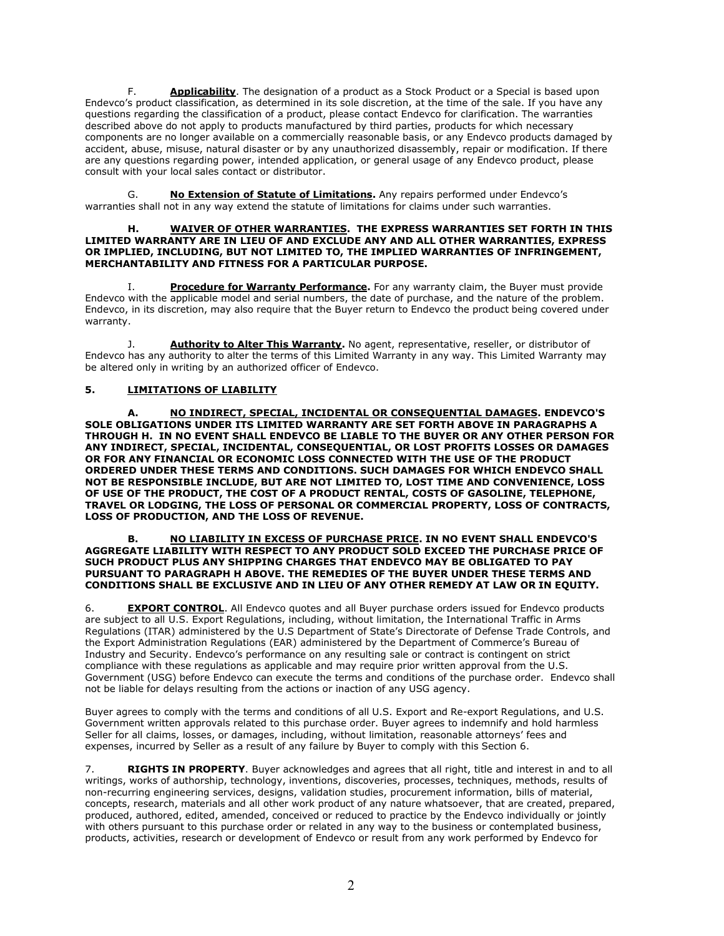F. **Applicability**. The designation of a product as a Stock Product or a Special is based upon Endevco's product classification, as determined in its sole discretion, at the time of the sale. If you have any questions regarding the classification of a product, please contact Endevco for clarification. The warranties described above do not apply to products manufactured by third parties, products for which necessary components are no longer available on a commercially reasonable basis, or any Endevco products damaged by accident, abuse, misuse, natural disaster or by any unauthorized disassembly, repair or modification. If there are any questions regarding power, intended application, or general usage of any Endevco product, please consult with your local sales contact or distributor.

G. **No Extension of Statute of Limitations.** Any repairs performed under Endevco's warranties shall not in any way extend the statute of limitations for claims under such warranties.

#### **H. WAIVER OF OTHER WARRANTIES. THE EXPRESS WARRANTIES SET FORTH IN THIS LIMITED WARRANTY ARE IN LIEU OF AND EXCLUDE ANY AND ALL OTHER WARRANTIES, EXPRESS OR IMPLIED, INCLUDING, BUT NOT LIMITED TO, THE IMPLIED WARRANTIES OF INFRINGEMENT, MERCHANTABILITY AND FITNESS FOR A PARTICULAR PURPOSE.**

**Procedure for Warranty Performance.** For any warranty claim, the Buyer must provide Endevco with the applicable model and serial numbers, the date of purchase, and the nature of the problem. Endevco, in its discretion, may also require that the Buyer return to Endevco the product being covered under warranty.

J. **Authority to Alter This Warranty.** No agent, representative, reseller, or distributor of Endevco has any authority to alter the terms of this Limited Warranty in any way. This Limited Warranty may be altered only in writing by an authorized officer of Endevco.

## **5. LIMITATIONS OF LIABILITY**

**A. NO INDIRECT, SPECIAL, INCIDENTAL OR CONSEQUENTIAL DAMAGES. ENDEVCO'S SOLE OBLIGATIONS UNDER ITS LIMITED WARRANTY ARE SET FORTH ABOVE IN PARAGRAPHS A THROUGH H. IN NO EVENT SHALL ENDEVCO BE LIABLE TO THE BUYER OR ANY OTHER PERSON FOR ANY INDIRECT, SPECIAL, INCIDENTAL, CONSEQUENTIAL, OR LOST PROFITS LOSSES OR DAMAGES OR FOR ANY FINANCIAL OR ECONOMIC LOSS CONNECTED WITH THE USE OF THE PRODUCT ORDERED UNDER THESE TERMS AND CONDITIONS. SUCH DAMAGES FOR WHICH ENDEVCO SHALL NOT BE RESPONSIBLE INCLUDE, BUT ARE NOT LIMITED TO, LOST TIME AND CONVENIENCE, LOSS OF USE OF THE PRODUCT, THE COST OF A PRODUCT RENTAL, COSTS OF GASOLINE, TELEPHONE, TRAVEL OR LODGING, THE LOSS OF PERSONAL OR COMMERCIAL PROPERTY, LOSS OF CONTRACTS, LOSS OF PRODUCTION, AND THE LOSS OF REVENUE.**

#### **B. NO LIABILITY IN EXCESS OF PURCHASE PRICE. IN NO EVENT SHALL ENDEVCO'S AGGREGATE LIABILITY WITH RESPECT TO ANY PRODUCT SOLD EXCEED THE PURCHASE PRICE OF SUCH PRODUCT PLUS ANY SHIPPING CHARGES THAT ENDEVCO MAY BE OBLIGATED TO PAY PURSUANT TO PARAGRAPH H ABOVE. THE REMEDIES OF THE BUYER UNDER THESE TERMS AND CONDITIONS SHALL BE EXCLUSIVE AND IN LIEU OF ANY OTHER REMEDY AT LAW OR IN EQUITY.**

6. **EXPORT CONTROL**. All Endevco quotes and all Buyer purchase orders issued for Endevco products are subject to all U.S. Export Regulations, including, without limitation, the International Traffic in Arms Regulations (ITAR) administered by the U.S Department of State's Directorate of Defense Trade Controls, and the Export Administration Regulations (EAR) administered by the Department of Commerce's Bureau of Industry and Security. Endevco's performance on any resulting sale or contract is contingent on strict compliance with these regulations as applicable and may require prior written approval from the U.S. Government (USG) before Endevco can execute the terms and conditions of the purchase order. Endevco shall not be liable for delays resulting from the actions or inaction of any USG agency.

Buyer agrees to comply with the terms and conditions of all U.S. Export and Re-export Regulations, and U.S. Government written approvals related to this purchase order. Buyer agrees to indemnify and hold harmless Seller for all claims, losses, or damages, including, without limitation, reasonable attorneys' fees and expenses, incurred by Seller as a result of any failure by Buyer to comply with this Section 6.

7. **RIGHTS IN PROPERTY**. Buyer acknowledges and agrees that all right, title and interest in and to all writings, works of authorship, technology, inventions, discoveries, processes, techniques, methods, results of non-recurring engineering services, designs, validation studies, procurement information, bills of material, concepts, research, materials and all other work product of any nature whatsoever, that are created, prepared, produced, authored, edited, amended, conceived or reduced to practice by the Endevco individually or jointly with others pursuant to this purchase order or related in any way to the business or contemplated business, products, activities, research or development of Endevco or result from any work performed by Endevco for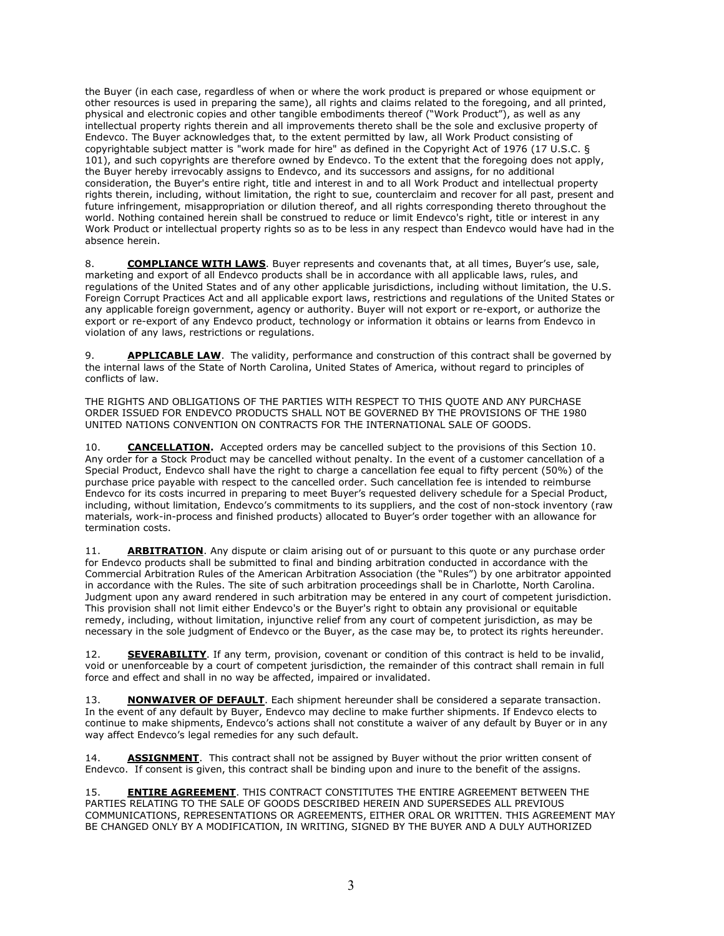the Buyer (in each case, regardless of when or where the work product is prepared or whose equipment or other resources is used in preparing the same), all rights and claims related to the foregoing, and all printed, physical and electronic copies and other tangible embodiments thereof ("Work Product"), as well as any intellectual property rights therein and all improvements thereto shall be the sole and exclusive property of Endevco. The Buyer acknowledges that, to the extent permitted by law, all Work Product consisting of copyrightable subject matter is "work made for hire" as defined in the Copyright Act of 1976 (17 U.S.C. § 101), and such copyrights are therefore owned by Endevco. To the extent that the foregoing does not apply, the Buyer hereby irrevocably assigns to Endevco, and its successors and assigns, for no additional consideration, the Buyer's entire right, title and interest in and to all Work Product and intellectual property rights therein, including, without limitation, the right to sue, counterclaim and recover for all past, present and future infringement, misappropriation or dilution thereof, and all rights corresponding thereto throughout the world. Nothing contained herein shall be construed to reduce or limit Endevco's right, title or interest in any Work Product or intellectual property rights so as to be less in any respect than Endevco would have had in the absence herein.

8. **COMPLIANCE WITH LAWS**. Buyer represents and covenants that, at all times, Buyer's use, sale, marketing and export of all Endevco products shall be in accordance with all applicable laws, rules, and regulations of the United States and of any other applicable jurisdictions, including without limitation, the U.S. Foreign Corrupt Practices Act and all applicable export laws, restrictions and regulations of the United States or any applicable foreign government, agency or authority. Buyer will not export or re-export, or authorize the export or re-export of any Endevco product, technology or information it obtains or learns from Endevco in violation of any laws, restrictions or regulations.

9. **APPLICABLE LAW**. The validity, performance and construction of this contract shall be governed by the internal laws of the State of North Carolina, United States of America, without regard to principles of conflicts of law.

THE RIGHTS AND OBLIGATIONS OF THE PARTIES WITH RESPECT TO THIS QUOTE AND ANY PURCHASE ORDER ISSUED FOR ENDEVCO PRODUCTS SHALL NOT BE GOVERNED BY THE PROVISIONS OF THE 1980 UNITED NATIONS CONVENTION ON CONTRACTS FOR THE INTERNATIONAL SALE OF GOODS.

10. **CANCELLATION.** Accepted orders may be cancelled subject to the provisions of this Section 10. Any order for a Stock Product may be cancelled without penalty. In the event of a customer cancellation of a Special Product, Endevco shall have the right to charge a cancellation fee equal to fifty percent (50%) of the purchase price payable with respect to the cancelled order. Such cancellation fee is intended to reimburse Endevco for its costs incurred in preparing to meet Buyer's requested delivery schedule for a Special Product, including, without limitation, Endevco's commitments to its suppliers, and the cost of non-stock inventory (raw materials, work-in-process and finished products) allocated to Buyer's order together with an allowance for termination costs.

11. **ARBITRATION**. Any dispute or claim arising out of or pursuant to this quote or any purchase order for Endevco products shall be submitted to final and binding arbitration conducted in accordance with the Commercial Arbitration Rules of the American Arbitration Association (the "Rules") by one arbitrator appointed in accordance with the Rules. The site of such arbitration proceedings shall be in Charlotte, North Carolina. Judgment upon any award rendered in such arbitration may be entered in any court of competent jurisdiction. This provision shall not limit either Endevco's or the Buyer's right to obtain any provisional or equitable remedy, including, without limitation, injunctive relief from any court of competent jurisdiction, as may be necessary in the sole judgment of Endevco or the Buyer, as the case may be, to protect its rights hereunder.

12. **SEVERABILITY**. If any term, provision, covenant or condition of this contract is held to be invalid, void or unenforceable by a court of competent jurisdiction, the remainder of this contract shall remain in full force and effect and shall in no way be affected, impaired or invalidated.

13. **NONWAIVER OF DEFAULT**. Each shipment hereunder shall be considered a separate transaction. In the event of any default by Buyer, Endevco may decline to make further shipments. If Endevco elects to continue to make shipments, Endevco's actions shall not constitute a waiver of any default by Buyer or in any way affect Endevco's legal remedies for any such default.

14. **ASSIGNMENT**. This contract shall not be assigned by Buyer without the prior written consent of Endevco. If consent is given, this contract shall be binding upon and inure to the benefit of the assigns.

15. **ENTIRE AGREEMENT**. THIS CONTRACT CONSTITUTES THE ENTIRE AGREEMENT BETWEEN THE PARTIES RELATING TO THE SALE OF GOODS DESCRIBED HEREIN AND SUPERSEDES ALL PREVIOUS COMMUNICATIONS, REPRESENTATIONS OR AGREEMENTS, EITHER ORAL OR WRITTEN. THIS AGREEMENT MAY BE CHANGED ONLY BY A MODIFICATION, IN WRITING, SIGNED BY THE BUYER AND A DULY AUTHORIZED